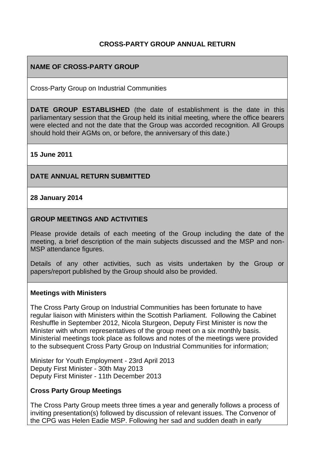#### **CROSS-PARTY GROUP ANNUAL RETURN**

#### **NAME OF CROSS-PARTY GROUP**

Cross-Party Group on Industrial Communities

**DATE GROUP ESTABLISHED** (the date of establishment is the date in this parliamentary session that the Group held its initial meeting, where the office bearers were elected and not the date that the Group was accorded recognition. All Groups should hold their AGMs on, or before, the anniversary of this date.)

#### **15 June 2011**

#### **DATE ANNUAL RETURN SUBMITTED**

#### **28 January 2014**

#### **GROUP MEETINGS AND ACTIVITIES**

Please provide details of each meeting of the Group including the date of the meeting, a brief description of the main subjects discussed and the MSP and non-MSP attendance figures.

Details of any other activities, such as visits undertaken by the Group or papers/report published by the Group should also be provided.

#### **Meetings with Ministers**

The Cross Party Group on Industrial Communities has been fortunate to have regular liaison with Ministers within the Scottish Parliament. Following the Cabinet Reshuffle in September 2012, Nicola Sturgeon, Deputy First Minister is now the Minister with whom representatives of the group meet on a six monthly basis. Ministerial meetings took place as follows and notes of the meetings were provided to the subsequent Cross Party Group on Industrial Communities for information;

Minister for Youth Employment - 23rd April 2013 Deputy First Minister - 30th May 2013 Deputy First Minister - 11th December 2013

#### **Cross Party Group Meetings**

The Cross Party Group meets three times a year and generally follows a process of inviting presentation(s) followed by discussion of relevant issues. The Convenor of the CPG was Helen Eadie MSP. Following her sad and sudden death in early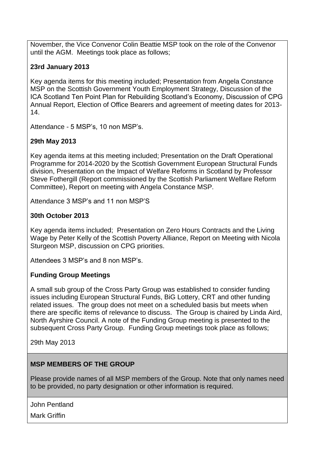November, the Vice Convenor Colin Beattie MSP took on the role of the Convenor until the AGM. Meetings took place as follows;

## **23rd January 2013**

Key agenda items for this meeting included; Presentation from Angela Constance MSP on the Scottish Government Youth Employment Strategy, Discussion of the ICA Scotland Ten Point Plan for Rebuilding Scotland's Economy, Discussion of CPG Annual Report, Election of Office Bearers and agreement of meeting dates for 2013- 14.

Attendance - 5 MSP's, 10 non MSP's.

## **29th May 2013**

Key agenda items at this meeting included; Presentation on the Draft Operational Programme for 2014-2020 by the Scottish Government European Structural Funds division, Presentation on the Impact of Welfare Reforms in Scotland by Professor Steve Fothergill (Report commissioned by the Scottish Parliament Welfare Reform Committee), Report on meeting with Angela Constance MSP.

Attendance 3 MSP's and 11 non MSP'S

## **30th October 2013**

Key agenda items included; Presentation on Zero Hours Contracts and the Living Wage by Peter Kelly of the Scottish Poverty Alliance, Report on Meeting with Nicola Sturgeon MSP, discussion on CPG priorities.

Attendees 3 MSP's and 8 non MSP's.

## **Funding Group Meetings**

A small sub group of the Cross Party Group was established to consider funding issues including European Structural Funds, BiG Lottery, CRT and other funding related issues. The group does not meet on a scheduled basis but meets when there are specific items of relevance to discuss. The Group is chaired by Linda Aird, North Ayrshire Council. A note of the Funding Group meeting is presented to the subsequent Cross Party Group. Funding Group meetings took place as follows;

29th May 2013

## **MSP MEMBERS OF THE GROUP**

Please provide names of all MSP members of the Group. Note that only names need to be provided, no party designation or other information is required.

John Pentland

Mark Griffin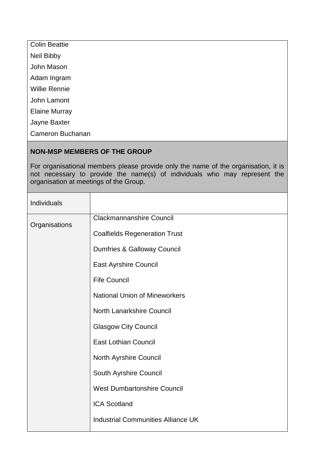| <b>Colin Beattie</b>    |
|-------------------------|
| Neil Bibby              |
| John Mason              |
| Adam Ingram             |
| <b>Willie Rennie</b>    |
| John Lamont             |
| <b>Elaine Murray</b>    |
| Jayne Baxter            |
| <b>Cameron Buchanan</b> |

#### **NON-MSP MEMBERS OF THE GROUP**

For organisational members please provide only the name of the organisation, it is not necessary to provide the name(s) of individuals who may represent the organisation at meetings of the Group.

| Individuals   |                                           |
|---------------|-------------------------------------------|
| Organisations | <b>Clackmannanshire Council</b>           |
|               | <b>Coalfields Regeneration Trust</b>      |
|               | Dumfries & Galloway Council               |
|               | <b>East Ayrshire Council</b>              |
|               | <b>Fife Council</b>                       |
|               | <b>National Union of Mineworkers</b>      |
|               | <b>North Lanarkshire Council</b>          |
|               | <b>Glasgow City Council</b>               |
|               | <b>East Lothian Council</b>               |
|               | North Ayrshire Council                    |
|               | South Ayrshire Council                    |
|               | <b>West Dumbartonshire Council</b>        |
|               | <b>ICA Scotland</b>                       |
|               | <b>Industrial Communities Alliance UK</b> |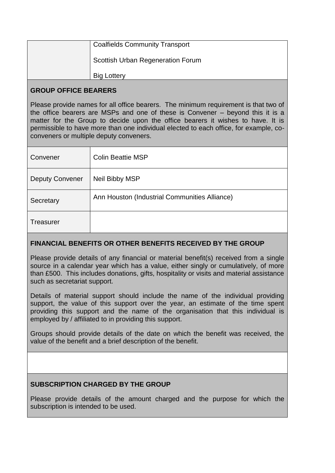| <b>Coalfields Community Transport</b> |
|---------------------------------------|
| Scottish Urban Regeneration Forum     |
| <b>Big Lottery</b>                    |

## **GROUP OFFICE BEARERS**

Please provide names for all office bearers. The minimum requirement is that two of the office bearers are MSPs and one of these is Convener – beyond this it is a matter for the Group to decide upon the office bearers it wishes to have. It is permissible to have more than one individual elected to each office, for example, coconveners or multiple deputy conveners.

| Convener               | <b>Colin Beattie MSP</b>                      |
|------------------------|-----------------------------------------------|
| <b>Deputy Convener</b> | <b>Neil Bibby MSP</b>                         |
| Secretary              | Ann Houston (Industrial Communities Alliance) |
| <b>Treasurer</b>       |                                               |

# **FINANCIAL BENEFITS OR OTHER BENEFITS RECEIVED BY THE GROUP**

Please provide details of any financial or material benefit(s) received from a single source in a calendar year which has a value, either singly or cumulatively, of more than £500. This includes donations, gifts, hospitality or visits and material assistance such as secretariat support.

Details of material support should include the name of the individual providing support, the value of this support over the year, an estimate of the time spent providing this support and the name of the organisation that this individual is employed by / affiliated to in providing this support.

Groups should provide details of the date on which the benefit was received, the value of the benefit and a brief description of the benefit.

## **SUBSCRIPTION CHARGED BY THE GROUP**

Please provide details of the amount charged and the purpose for which the subscription is intended to be used.